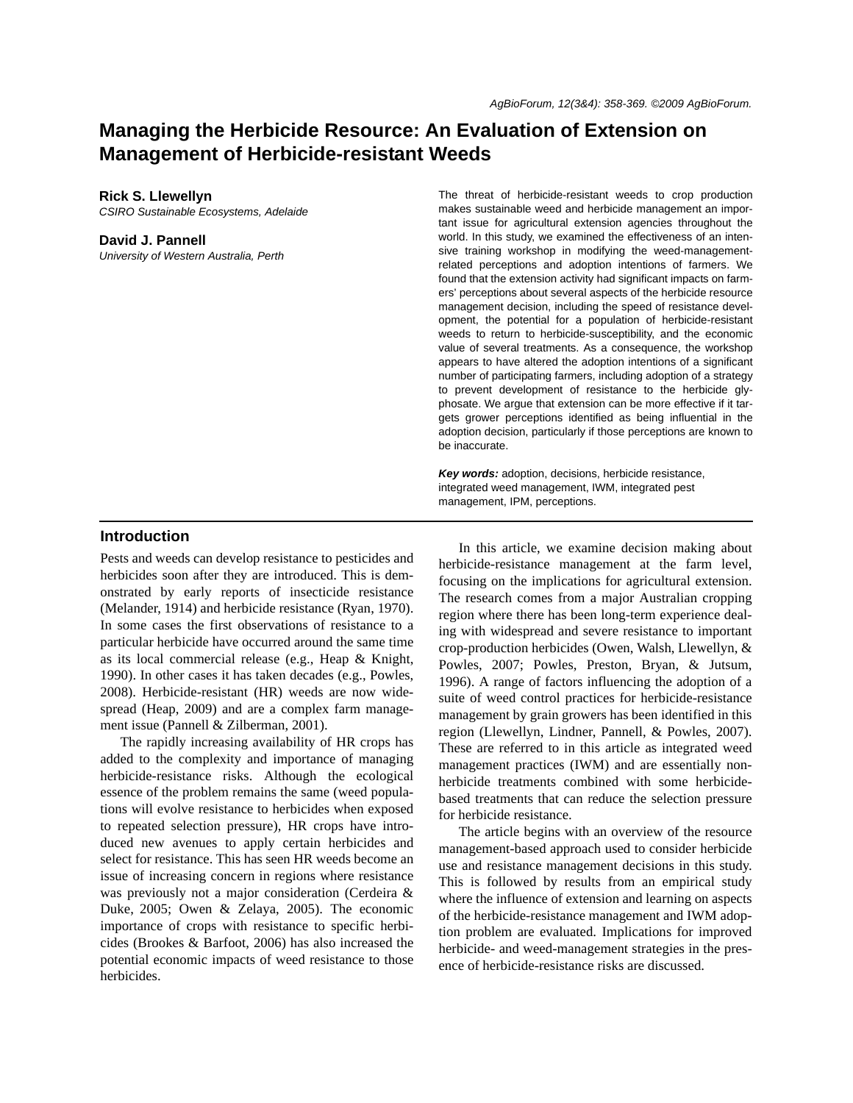# **Managing the Herbicide Resource: An Evaluation of Extension on Management of Herbicide-resistant Weeds**

**Rick S. Llewellyn**

*CSIRO Sustainable Ecosystems, Adelaide*

#### **David J. Pannell**

*University of Western Australia, Perth*

The threat of herbicide-resistant weeds to crop production makes sustainable weed and herbicide management an important issue for agricultural extension agencies throughout the world. In this study, we examined the effectiveness of an intensive training workshop in modifying the weed-managementrelated perceptions and adoption intentions of farmers. We found that the extension activity had significant impacts on farmers' perceptions about several aspects of the herbicide resource management decision, including the speed of resistance development, the potential for a population of herbicide-resistant weeds to return to herbicide-susceptibility, and the economic value of several treatments. As a consequence, the workshop appears to have altered the adoption intentions of a significant number of participating farmers, including adoption of a strategy to prevent development of resistance to the herbicide glyphosate. We argue that extension can be more effective if it targets grower perceptions identified as being influential in the adoption decision, particularly if those perceptions are known to be inaccurate.

*Key words:* adoption, decisions, herbicide resistance, integrated weed management, IWM, integrated pest management, IPM, perceptions.

### **Introduction**

Pests and weeds can develop resistance to pesticides and herbicides soon after they are introduced. This is demonstrated by early reports of insecticide resistance (Melander, 1914) and herbicide resistance (Ryan, 1970). In some cases the first observations of resistance to a particular herbicide have occurred around the same time as its local commercial release (e.g., Heap & Knight, 1990). In other cases it has taken decades (e.g., Powles, 2008). Herbicide-resistant (HR) weeds are now widespread (Heap, 2009) and are a complex farm management issue (Pannell & Zilberman, 2001).

The rapidly increasing availability of HR crops has added to the complexity and importance of managing herbicide-resistance risks. Although the ecological essence of the problem remains the same (weed populations will evolve resistance to herbicides when exposed to repeated selection pressure), HR crops have introduced new avenues to apply certain herbicides and select for resistance. This has seen HR weeds become an issue of increasing concern in regions where resistance was previously not a major consideration (Cerdeira & Duke, 2005; Owen & Zelaya, 2005). The economic importance of crops with resistance to specific herbicides (Brookes & Barfoot, 2006) has also increased the potential economic impacts of weed resistance to those herbicides.

In this article, we examine decision making about herbicide-resistance management at the farm level, focusing on the implications for agricultural extension. The research comes from a major Australian cropping region where there has been long-term experience dealing with widespread and severe resistance to important crop-production herbicides (Owen, Walsh, Llewellyn, & Powles, 2007; Powles, Preston, Bryan, & Jutsum, 1996). A range of factors influencing the adoption of a suite of weed control practices for herbicide-resistance management by grain growers has been identified in this region (Llewellyn, Lindner, Pannell, & Powles, 2007). These are referred to in this article as integrated weed management practices (IWM) and are essentially nonherbicide treatments combined with some herbicidebased treatments that can reduce the selection pressure for herbicide resistance.

The article begins with an overview of the resource management-based approach used to consider herbicide use and resistance management decisions in this study. This is followed by results from an empirical study where the influence of extension and learning on aspects of the herbicide-resistance management and IWM adoption problem are evaluated. Implications for improved herbicide- and weed-management strategies in the presence of herbicide-resistance risks are discussed.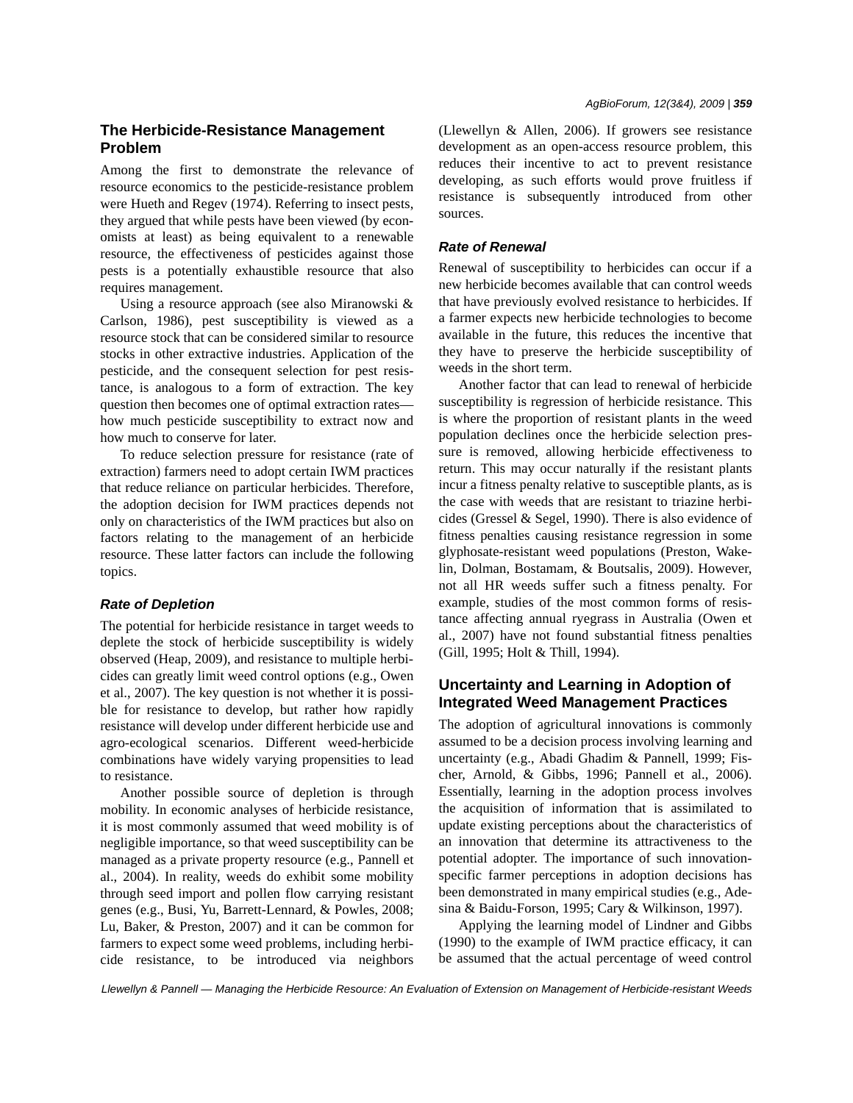# **The Herbicide-Resistance Management Problem**

Among the first to demonstrate the relevance of resource economics to the pesticide-resistance problem were Hueth and Regev (1974). Referring to insect pests, they argued that while pests have been viewed (by economists at least) as being equivalent to a renewable resource, the effectiveness of pesticides against those pests is a potentially exhaustible resource that also requires management.

Using a resource approach (see also Miranowski & Carlson, 1986), pest susceptibility is viewed as a resource stock that can be considered similar to resource stocks in other extractive industries. Application of the pesticide, and the consequent selection for pest resistance, is analogous to a form of extraction. The key question then becomes one of optimal extraction rates how much pesticide susceptibility to extract now and how much to conserve for later.

To reduce selection pressure for resistance (rate of extraction) farmers need to adopt certain IWM practices that reduce reliance on particular herbicides. Therefore, the adoption decision for IWM practices depends not only on characteristics of the IWM practices but also on factors relating to the management of an herbicide resource. These latter factors can include the following topics.

## *Rate of Depletion*

The potential for herbicide resistance in target weeds to deplete the stock of herbicide susceptibility is widely observed (Heap, 2009), and resistance to multiple herbicides can greatly limit weed control options (e.g., Owen et al., 2007). The key question is not whether it is possible for resistance to develop, but rather how rapidly resistance will develop under different herbicide use and agro-ecological scenarios. Different weed-herbicide combinations have widely varying propensities to lead to resistance.

Another possible source of depletion is through mobility. In economic analyses of herbicide resistance, it is most commonly assumed that weed mobility is of negligible importance, so that weed susceptibility can be managed as a private property resource (e.g., Pannell et al., 2004). In reality, weeds do exhibit some mobility through seed import and pollen flow carrying resistant genes (e.g., Busi, Yu, Barrett-Lennard, & Powles, 2008; Lu, Baker, & Preston, 2007) and it can be common for farmers to expect some weed problems, including herbicide resistance, to be introduced via neighbors (Llewellyn & Allen, 2006). If growers see resistance development as an open-access resource problem, this reduces their incentive to act to prevent resistance developing, as such efforts would prove fruitless if resistance is subsequently introduced from other sources.

## *Rate of Renewal*

Renewal of susceptibility to herbicides can occur if a new herbicide becomes available that can control weeds that have previously evolved resistance to herbicides. If a farmer expects new herbicide technologies to become available in the future, this reduces the incentive that they have to preserve the herbicide susceptibility of weeds in the short term.

Another factor that can lead to renewal of herbicide susceptibility is regression of herbicide resistance. This is where the proportion of resistant plants in the weed population declines once the herbicide selection pressure is removed, allowing herbicide effectiveness to return. This may occur naturally if the resistant plants incur a fitness penalty relative to susceptible plants, as is the case with weeds that are resistant to triazine herbicides (Gressel & Segel, 1990). There is also evidence of fitness penalties causing resistance regression in some glyphosate-resistant weed populations (Preston, Wakelin, Dolman, Bostamam, & Boutsalis, 2009). However, not all HR weeds suffer such a fitness penalty. For example, studies of the most common forms of resistance affecting annual ryegrass in Australia (Owen et al., 2007) have not found substantial fitness penalties (Gill, 1995; Holt & Thill, 1994).

# **Uncertainty and Learning in Adoption of Integrated Weed Management Practices**

The adoption of agricultural innovations is commonly assumed to be a decision process involving learning and uncertainty (e.g., Abadi Ghadim & Pannell, 1999; Fischer, Arnold, & Gibbs, 1996; Pannell et al., 2006). Essentially, learning in the adoption process involves the acquisition of information that is assimilated to update existing perceptions about the characteristics of an innovation that determine its attractiveness to the potential adopter. The importance of such innovationspecific farmer perceptions in adoption decisions has been demonstrated in many empirical studies (e.g., Adesina & Baidu-Forson, 1995; Cary & Wilkinson, 1997).

Applying the learning model of Lindner and Gibbs (1990) to the example of IWM practice efficacy, it can be assumed that the actual percentage of weed control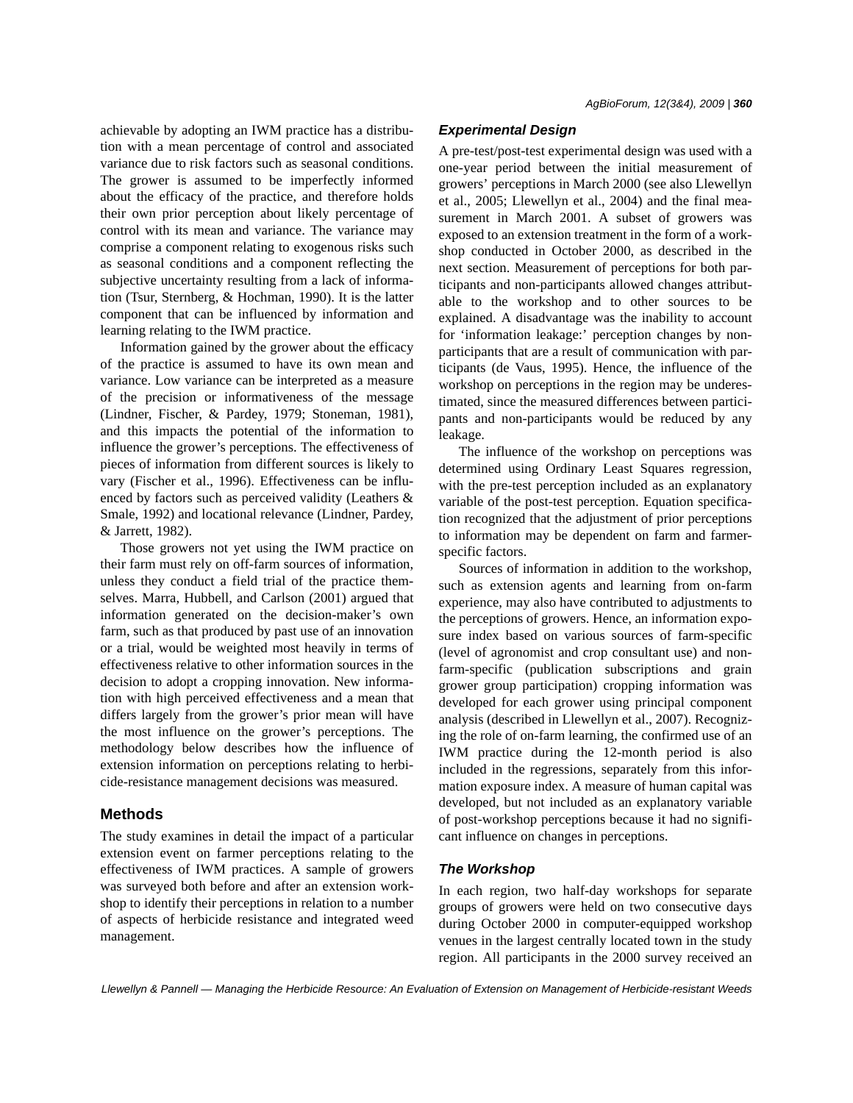achievable by adopting an IWM practice has a distribution with a mean percentage of control and associated variance due to risk factors such as seasonal conditions. The grower is assumed to be imperfectly informed about the efficacy of the practice, and therefore holds their own prior perception about likely percentage of control with its mean and variance. The variance may comprise a component relating to exogenous risks such as seasonal conditions and a component reflecting the subjective uncertainty resulting from a lack of information (Tsur, Sternberg, & Hochman, 1990). It is the latter component that can be influenced by information and learning relating to the IWM practice.

Information gained by the grower about the efficacy of the practice is assumed to have its own mean and variance. Low variance can be interpreted as a measure of the precision or informativeness of the message (Lindner, Fischer, & Pardey, 1979; Stoneman, 1981), and this impacts the potential of the information to influence the grower's perceptions. The effectiveness of pieces of information from different sources is likely to vary (Fischer et al., 1996). Effectiveness can be influenced by factors such as perceived validity (Leathers & Smale, 1992) and locational relevance (Lindner, Pardey, & Jarrett, 1982).

Those growers not yet using the IWM practice on their farm must rely on off-farm sources of information, unless they conduct a field trial of the practice themselves. Marra, Hubbell, and Carlson (2001) argued that information generated on the decision-maker's own farm, such as that produced by past use of an innovation or a trial, would be weighted most heavily in terms of effectiveness relative to other information sources in the decision to adopt a cropping innovation. New information with high perceived effectiveness and a mean that differs largely from the grower's prior mean will have the most influence on the grower's perceptions. The methodology below describes how the influence of extension information on perceptions relating to herbicide-resistance management decisions was measured.

### **Methods**

The study examines in detail the impact of a particular extension event on farmer perceptions relating to the effectiveness of IWM practices. A sample of growers was surveyed both before and after an extension workshop to identify their perceptions in relation to a number of aspects of herbicide resistance and integrated weed management.

# *Experimental Design*

A pre-test/post-test experimental design was used with a one-year period between the initial measurement of growers' perceptions in March 2000 (see also Llewellyn et al., 2005; Llewellyn et al., 2004) and the final measurement in March 2001. A subset of growers was exposed to an extension treatment in the form of a workshop conducted in October 2000, as described in the next section. Measurement of perceptions for both participants and non-participants allowed changes attributable to the workshop and to other sources to be explained. A disadvantage was the inability to account for 'information leakage:' perception changes by nonparticipants that are a result of communication with participants (de Vaus, 1995). Hence, the influence of the workshop on perceptions in the region may be underestimated, since the measured differences between participants and non-participants would be reduced by any leakage.

The influence of the workshop on perceptions was determined using Ordinary Least Squares regression, with the pre-test perception included as an explanatory variable of the post-test perception. Equation specification recognized that the adjustment of prior perceptions to information may be dependent on farm and farmerspecific factors.

Sources of information in addition to the workshop, such as extension agents and learning from on-farm experience, may also have contributed to adjustments to the perceptions of growers. Hence, an information exposure index based on various sources of farm-specific (level of agronomist and crop consultant use) and nonfarm-specific (publication subscriptions and grain grower group participation) cropping information was developed for each grower using principal component analysis (described in Llewellyn et al., 2007). Recognizing the role of on-farm learning, the confirmed use of an IWM practice during the 12-month period is also included in the regressions, separately from this information exposure index. A measure of human capital was developed, but not included as an explanatory variable of post-workshop perceptions because it had no significant influence on changes in perceptions.

#### *The Workshop*

In each region, two half-day workshops for separate groups of growers were held on two consecutive days during October 2000 in computer-equipped workshop venues in the largest centrally located town in the study region. All participants in the 2000 survey received an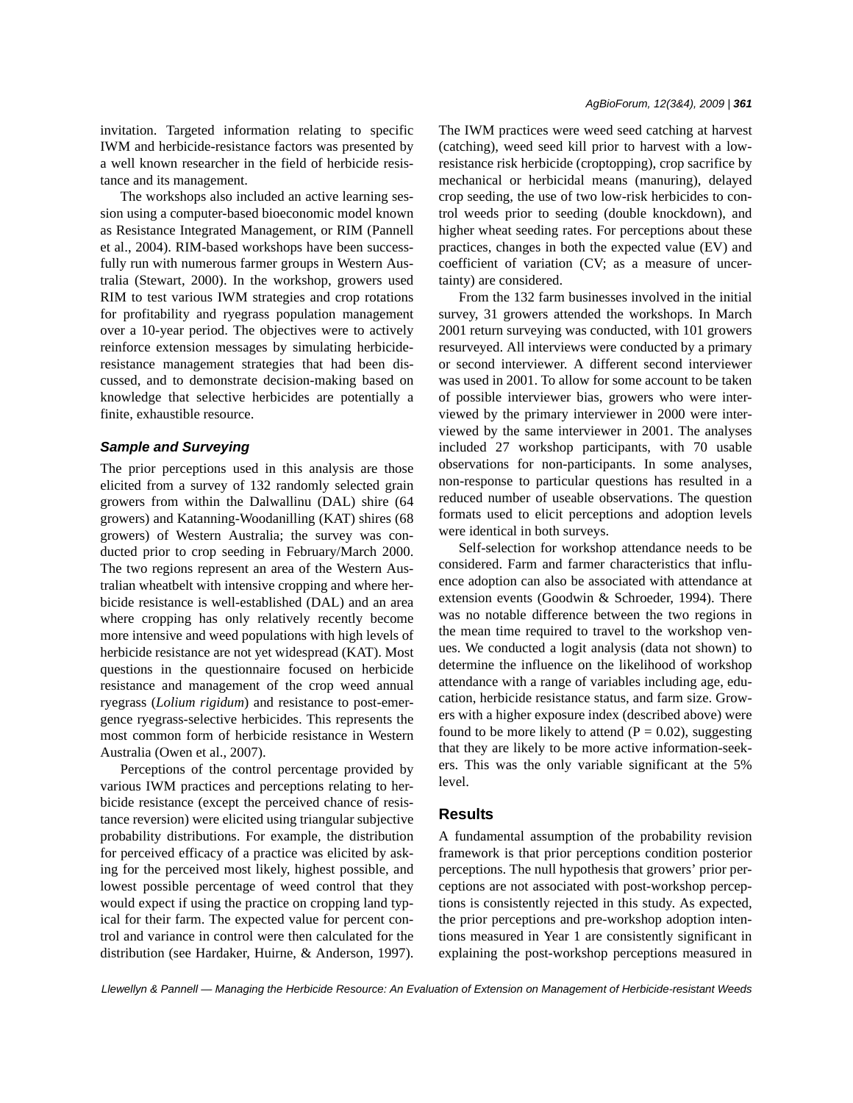invitation. Targeted information relating to specific IWM and herbicide-resistance factors was presented by a well known researcher in the field of herbicide resistance and its management.

The workshops also included an active learning session using a computer-based bioeconomic model known as Resistance Integrated Management, or RIM (Pannell et al., 2004). RIM-based workshops have been successfully run with numerous farmer groups in Western Australia (Stewart, 2000). In the workshop, growers used RIM to test various IWM strategies and crop rotations for profitability and ryegrass population management over a 10-year period. The objectives were to actively reinforce extension messages by simulating herbicideresistance management strategies that had been discussed, and to demonstrate decision-making based on knowledge that selective herbicides are potentially a finite, exhaustible resource.

#### *Sample and Surveying*

The prior perceptions used in this analysis are those elicited from a survey of 132 randomly selected grain growers from within the Dalwallinu (DAL) shire (64 growers) and Katanning-Woodanilling (KAT) shires (68 growers) of Western Australia; the survey was conducted prior to crop seeding in February/March 2000. The two regions represent an area of the Western Australian wheatbelt with intensive cropping and where herbicide resistance is well-established (DAL) and an area where cropping has only relatively recently become more intensive and weed populations with high levels of herbicide resistance are not yet widespread (KAT). Most questions in the questionnaire focused on herbicide resistance and management of the crop weed annual ryegrass (*Lolium rigidum*) and resistance to post-emergence ryegrass-selective herbicides. This represents the most common form of herbicide resistance in Western Australia (Owen et al., 2007).

Perceptions of the control percentage provided by various IWM practices and perceptions relating to herbicide resistance (except the perceived chance of resistance reversion) were elicited using triangular subjective probability distributions. For example, the distribution for perceived efficacy of a practice was elicited by asking for the perceived most likely, highest possible, and lowest possible percentage of weed control that they would expect if using the practice on cropping land typical for their farm. The expected value for percent control and variance in control were then calculated for the distribution (see Hardaker, Huirne, & Anderson, 1997). The IWM practices were weed seed catching at harvest (catching), weed seed kill prior to harvest with a lowresistance risk herbicide (croptopping), crop sacrifice by mechanical or herbicidal means (manuring), delayed crop seeding, the use of two low-risk herbicides to control weeds prior to seeding (double knockdown), and higher wheat seeding rates. For perceptions about these practices, changes in both the expected value (EV) and coefficient of variation (CV; as a measure of uncertainty) are considered.

From the 132 farm businesses involved in the initial survey, 31 growers attended the workshops. In March 2001 return surveying was conducted, with 101 growers resurveyed. All interviews were conducted by a primary or second interviewer. A different second interviewer was used in 2001. To allow for some account to be taken of possible interviewer bias, growers who were interviewed by the primary interviewer in 2000 were interviewed by the same interviewer in 2001. The analyses included 27 workshop participants, with 70 usable observations for non-participants. In some analyses, non-response to particular questions has resulted in a reduced number of useable observations. The question formats used to elicit perceptions and adoption levels were identical in both surveys.

Self-selection for workshop attendance needs to be considered. Farm and farmer characteristics that influence adoption can also be associated with attendance at extension events (Goodwin & Schroeder, 1994). There was no notable difference between the two regions in the mean time required to travel to the workshop venues. We conducted a logit analysis (data not shown) to determine the influence on the likelihood of workshop attendance with a range of variables including age, education, herbicide resistance status, and farm size. Growers with a higher exposure index (described above) were found to be more likely to attend  $(P = 0.02)$ , suggesting that they are likely to be more active information-seekers. This was the only variable significant at the 5% level.

# **Results**

A fundamental assumption of the probability revision framework is that prior perceptions condition posterior perceptions. The null hypothesis that growers' prior perceptions are not associated with post-workshop perceptions is consistently rejected in this study. As expected, the prior perceptions and pre-workshop adoption intentions measured in Year 1 are consistently significant in explaining the post-workshop perceptions measured in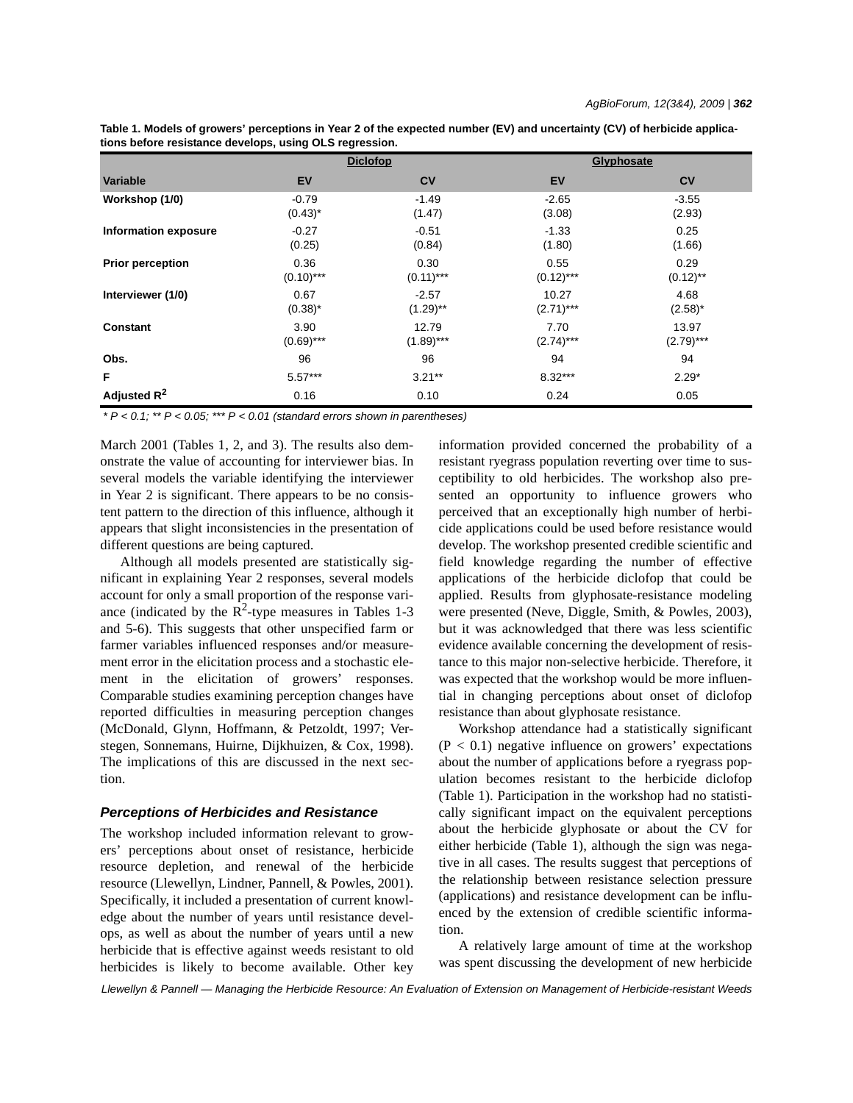**Table 1. Models of growers' perceptions in Year 2 of the expected number (EV) and uncertainty (CV) of herbicide applications before resistance develops, using OLS regression.**

|                             | <b>Diclofop</b> |              | Glyphosate  |                |
|-----------------------------|-----------------|--------------|-------------|----------------|
| <b>Variable</b>             | <b>EV</b>       | <b>CV</b>    | EV          | c <sub>v</sub> |
| Workshop (1/0)              | $-0.79$         | $-1.49$      | $-2.65$     | $-3.55$        |
|                             | $(0.43)^*$      | (1.47)       | (3.08)      | (2.93)         |
| <b>Information exposure</b> | $-0.27$         | $-0.51$      | $-1.33$     | 0.25           |
|                             | (0.25)          | (0.84)       | (1.80)      | (1.66)         |
| <b>Prior perception</b>     | 0.36            | 0.30         | 0.55        | 0.29           |
|                             | $(0.10)$ ***    | $(0.11)$ *** | $(0.12)***$ | $(0.12)$ **    |
| Interviewer (1/0)           | 0.67            | $-2.57$      | 10.27       | 4.68           |
|                             | $(0.38)^*$      | $(1.29)$ **  | $(2.71)***$ | $(2.58)^*$     |
| <b>Constant</b>             | 3.90            | 12.79        | 7.70        | 13.97          |
|                             | $(0.69)$ ***    | $(1.89)$ *** | $(2.74)***$ | $(2.79)$ ***   |
| Obs.                        | 96              | 96           | 94          | 94             |
| F                           | $5.57***$       | $3.21***$    | $8.32***$   | $2.29*$        |
| Adjusted $R^2$              | 0.16            | 0.10         | 0.24        | 0.05           |

*\* P < 0.1; \*\* P < 0.05; \*\*\* P < 0.01 (standard errors shown in parentheses)*

March 2001 (Tables 1, 2, and 3). The results also demonstrate the value of accounting for interviewer bias. In several models the variable identifying the interviewer in Year 2 is significant. There appears to be no consistent pattern to the direction of this influence, although it appears that slight inconsistencies in the presentation of different questions are being captured.

Although all models presented are statistically significant in explaining Year 2 responses, several models account for only a small proportion of the response variance (indicated by the  $\mathbb{R}^2$ -type measures in Tables 1-3 and 5-6). This suggests that other unspecified farm or farmer variables influenced responses and/or measurement error in the elicitation process and a stochastic element in the elicitation of growers' responses. Comparable studies examining perception changes have reported difficulties in measuring perception changes (McDonald, Glynn, Hoffmann, & Petzoldt, 1997; Verstegen, Sonnemans, Huirne, Dijkhuizen, & Cox, 1998). The implications of this are discussed in the next section.

#### *Perceptions of Herbicides and Resistance*

The workshop included information relevant to growers' perceptions about onset of resistance, herbicide resource depletion, and renewal of the herbicide resource (Llewellyn, Lindner, Pannell, & Powles, 2001). Specifically, it included a presentation of current knowledge about the number of years until resistance develops, as well as about the number of years until a new herbicide that is effective against weeds resistant to old herbicides is likely to become available. Other key information provided concerned the probability of a resistant ryegrass population reverting over time to susceptibility to old herbicides. The workshop also presented an opportunity to influence growers who perceived that an exceptionally high number of herbicide applications could be used before resistance would develop. The workshop presented credible scientific and field knowledge regarding the number of effective applications of the herbicide diclofop that could be applied. Results from glyphosate-resistance modeling were presented (Neve, Diggle, Smith, & Powles, 2003), but it was acknowledged that there was less scientific evidence available concerning the development of resistance to this major non-selective herbicide. Therefore, it was expected that the workshop would be more influential in changing perceptions about onset of diclofop resistance than about glyphosate resistance.

Workshop attendance had a statistically significant  $(P < 0.1)$  negative influence on growers' expectations about the number of applications before a ryegrass population becomes resistant to the herbicide diclofop (Table 1). Participation in the workshop had no statistically significant impact on the equivalent perceptions about the herbicide glyphosate or about the CV for either herbicide (Table 1), although the sign was negative in all cases. The results suggest that perceptions of the relationship between resistance selection pressure (applications) and resistance development can be influenced by the extension of credible scientific information.

A relatively large amount of time at the workshop was spent discussing the development of new herbicide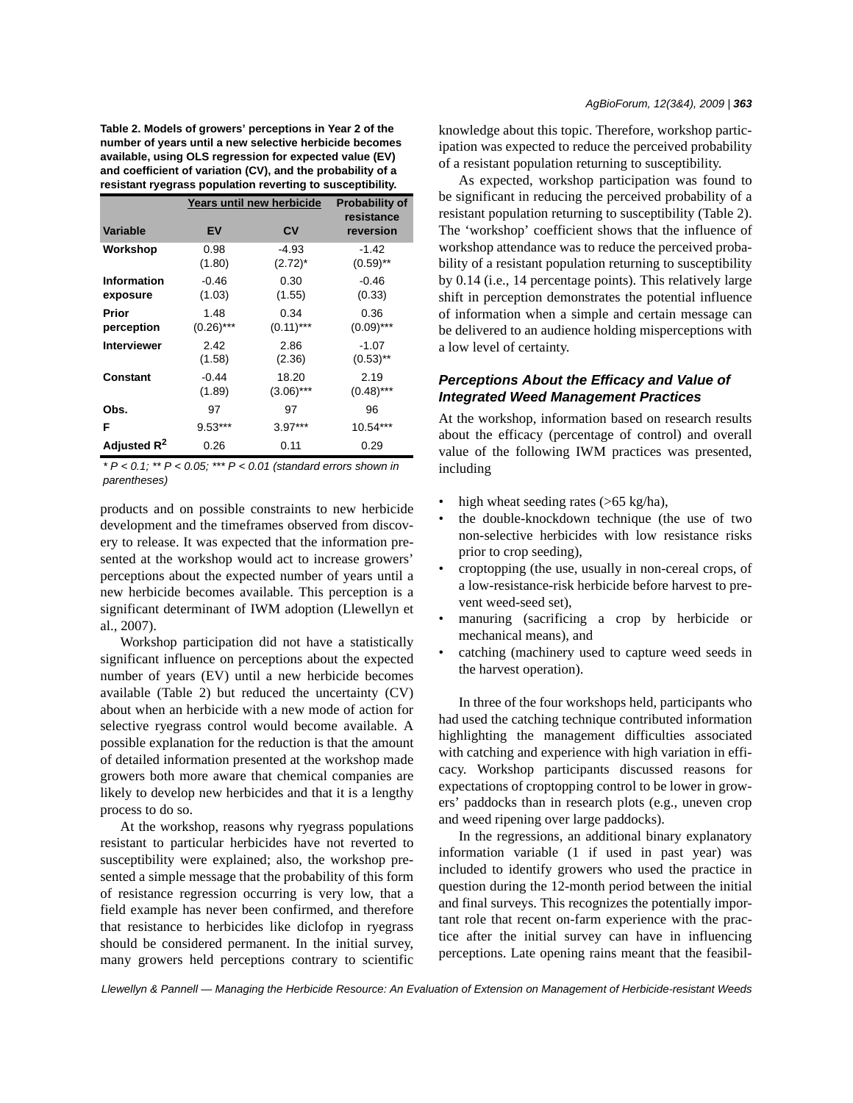**Table 2. Models of growers' perceptions in Year 2 of the number of years until a new selective herbicide becomes available, using OLS regression for expected value (EV) and coefficient of variation (CV), and the probability of a resistant ryegrass population reverting to susceptibility.**

|                         | Years until new herbicide | <b>Probability of</b> |                         |
|-------------------------|---------------------------|-----------------------|-------------------------|
| <b>Variable</b>         | EV                        | CV                    | resistance<br>reversion |
| Workshop                | 0.98                      | $-4.93$               | $-1.42$                 |
|                         | (1.80)                    | $(2.72)^*$            | $(0.59)$ **             |
| Information             | $-0.46$                   | 0.30                  | $-0.46$                 |
| exposure                | (1.03)                    | (1.55)                | (0.33)                  |
| Prior                   | 1.48                      | 0.34                  | 0.36                    |
| perception              | $(0.26)$ ***              | $(0.11)***$           | $(0.09)$ ***            |
| <b>Interviewer</b>      | 2.42                      | 2.86                  | $-1.07$                 |
|                         | (1.58)                    | (2.36)                | $(0.53)$ **             |
| Constant                | $-0.44$                   | 18.20                 | 2.19                    |
|                         | (1.89)                    | $(3.06)$ ***          | $(0.48)$ ***            |
| Obs.                    | 97                        | 97                    | 96                      |
| F                       | $9.53***$                 | $3.97***$             | 10.54***                |
| Adjusted R <sup>2</sup> | 0.26                      | 0.11                  | 0.29                    |

*\* P < 0.1; \*\* P < 0.05; \*\*\* P < 0.01 (standard errors shown in parentheses)*

products and on possible constraints to new herbicide development and the timeframes observed from discovery to release. It was expected that the information presented at the workshop would act to increase growers' perceptions about the expected number of years until a new herbicide becomes available. This perception is a significant determinant of IWM adoption (Llewellyn et al., 2007).

Workshop participation did not have a statistically significant influence on perceptions about the expected number of years (EV) until a new herbicide becomes available (Table 2) but reduced the uncertainty (CV) about when an herbicide with a new mode of action for selective ryegrass control would become available. A possible explanation for the reduction is that the amount of detailed information presented at the workshop made growers both more aware that chemical companies are likely to develop new herbicides and that it is a lengthy process to do so.

At the workshop, reasons why ryegrass populations resistant to particular herbicides have not reverted to susceptibility were explained; also, the workshop presented a simple message that the probability of this form of resistance regression occurring is very low, that a field example has never been confirmed, and therefore that resistance to herbicides like diclofop in ryegrass should be considered permanent. In the initial survey, many growers held perceptions contrary to scientific

knowledge about this topic. Therefore, workshop participation was expected to reduce the perceived probability of a resistant population returning to susceptibility.

As expected, workshop participation was found to be significant in reducing the perceived probability of a resistant population returning to susceptibility (Table 2). The 'workshop' coefficient shows that the influence of workshop attendance was to reduce the perceived probability of a resistant population returning to susceptibility by 0.14 (i.e., 14 percentage points). This relatively large shift in perception demonstrates the potential influence of information when a simple and certain message can be delivered to an audience holding misperceptions with a low level of certainty.

# *Perceptions About the Efficacy and Value of Integrated Weed Management Practices*

At the workshop, information based on research results about the efficacy (percentage of control) and overall value of the following IWM practices was presented, including

- high wheat seeding rates (>65 kg/ha),
- the double-knockdown technique (the use of two non-selective herbicides with low resistance risks prior to crop seeding),
- croptopping (the use, usually in non-cereal crops, of a low-resistance-risk herbicide before harvest to prevent weed-seed set),
- manuring (sacrificing a crop by herbicide or mechanical means), and
- catching (machinery used to capture weed seeds in the harvest operation).

In three of the four workshops held, participants who had used the catching technique contributed information highlighting the management difficulties associated with catching and experience with high variation in efficacy. Workshop participants discussed reasons for expectations of croptopping control to be lower in growers' paddocks than in research plots (e.g., uneven crop and weed ripening over large paddocks).

In the regressions, an additional binary explanatory information variable (1 if used in past year) was included to identify growers who used the practice in question during the 12-month period between the initial and final surveys. This recognizes the potentially important role that recent on-farm experience with the practice after the initial survey can have in influencing perceptions. Late opening rains meant that the feasibil-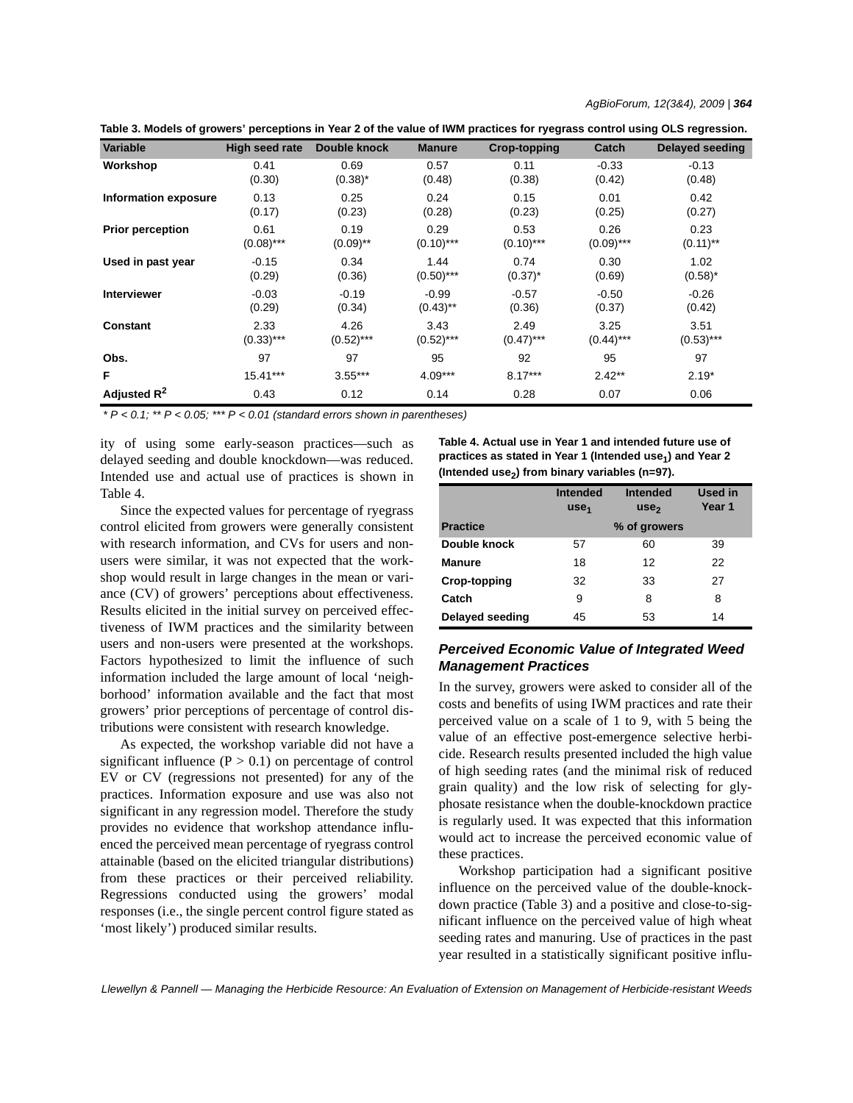*AgBioForum, 12(3&4), 2009 | 364*

**Table 3. Models of growers' perceptions in Year 2 of the value of IWM practices for ryegrass control using OLS regression.**

| <b>Variable</b>         | High seed rate | Double knock | <b>Manure</b> | <b>Crop-topping</b> | Catch        | Delayed seeding |
|-------------------------|----------------|--------------|---------------|---------------------|--------------|-----------------|
| Workshop                | 0.41           | 0.69         | 0.57          | 0.11                | $-0.33$      | $-0.13$         |
|                         | (0.30)         | $(0.38)^*$   | (0.48)        | (0.38)              | (0.42)       | (0.48)          |
| Information exposure    | 0.13           | 0.25         | 0.24          | 0.15                | 0.01         | 0.42            |
|                         | (0.17)         | (0.23)       | (0.28)        | (0.23)              | (0.25)       | (0.27)          |
| <b>Prior perception</b> | 0.61           | 0.19         | 0.29          | 0.53                | 0.26         | 0.23            |
|                         | $(0.08)$ ***   | $(0.09)$ **  | $(0.10)$ ***  | $(0.10)$ ***        | $(0.09)$ *** | $(0.11)$ **     |
| Used in past year       | $-0.15$        | 0.34         | 1.44          | 0.74                | 0.30         | 1.02            |
|                         | (0.29)         | (0.36)       | $(0.50)$ ***  | $(0.37)^*$          | (0.69)       | $(0.58)^*$      |
| <b>Interviewer</b>      | $-0.03$        | $-0.19$      | $-0.99$       | $-0.57$             | $-0.50$      | $-0.26$         |
|                         | (0.29)         | (0.34)       | $(0.43)$ **   | (0.36)              | (0.37)       | (0.42)          |
| <b>Constant</b>         | 2.33           | 4.26         | 3.43          | 2.49                | 3.25         | 3.51            |
|                         | $(0.33)$ ***   | $(0.52)$ *** | $(0.52)$ ***  | $(0.47)$ ***        | $(0.44)$ *** | $(0.53)$ ***    |
| Obs.                    | 97             | 97           | 95            | 92                  | 95           | 97              |
| F                       | 15.41***       | $3.55***$    | $4.09***$     | $8.17***$           | $2.42**$     | $2.19*$         |
| Adjusted $R^2$          | 0.43           | 0.12         | 0.14          | 0.28                | 0.07         | 0.06            |

*\* P < 0.1; \*\* P < 0.05; \*\*\* P < 0.01 (standard errors shown in parentheses)*

ity of using some early-season practices—such as delayed seeding and double knockdown—was reduced. Intended use and actual use of practices is shown in Table 4.

Since the expected values for percentage of ryegrass control elicited from growers were generally consistent with research information, and CVs for users and nonusers were similar, it was not expected that the workshop would result in large changes in the mean or variance (CV) of growers' perceptions about effectiveness. Results elicited in the initial survey on perceived effectiveness of IWM practices and the similarity between users and non-users were presented at the workshops. Factors hypothesized to limit the influence of such information included the large amount of local 'neighborhood' information available and the fact that most growers' prior perceptions of percentage of control distributions were consistent with research knowledge.

As expected, the workshop variable did not have a significant influence  $(P > 0.1)$  on percentage of control EV or CV (regressions not presented) for any of the practices. Information exposure and use was also not significant in any regression model. Therefore the study provides no evidence that workshop attendance influenced the perceived mean percentage of ryegrass control attainable (based on the elicited triangular distributions) from these practices or their perceived reliability. Regressions conducted using the growers' modal responses (i.e., the single percent control figure stated as 'most likely') produced similar results.

**Table 4. Actual use in Year 1 and intended future use of**  practices as stated in Year 1 (Intended use<sub>1</sub>) and Year 2 (Intended use<sub>2</sub>) from binary variables (n=97).

|                        | <b>Intended</b><br>use <sub>1</sub> | <b>Intended</b><br>use <sub>2</sub> | <b>Used in</b><br>Year 1 |
|------------------------|-------------------------------------|-------------------------------------|--------------------------|
| <b>Practice</b>        |                                     | % of growers                        |                          |
| Double knock           | 57                                  | 60                                  | 39                       |
| <b>Manure</b>          | 18                                  | 12                                  | 22                       |
| Crop-topping           | 32                                  | 33                                  | 27                       |
| Catch                  | 9                                   | 8                                   | 8                        |
| <b>Delayed seeding</b> | 45                                  | 53                                  | 14                       |

# *Perceived Economic Value of Integrated Weed Management Practices*

In the survey, growers were asked to consider all of the costs and benefits of using IWM practices and rate their perceived value on a scale of 1 to 9, with 5 being the value of an effective post-emergence selective herbicide. Research results presented included the high value of high seeding rates (and the minimal risk of reduced grain quality) and the low risk of selecting for glyphosate resistance when the double-knockdown practice is regularly used. It was expected that this information would act to increase the perceived economic value of these practices.

Workshop participation had a significant positive influence on the perceived value of the double-knockdown practice (Table 3) and a positive and close-to-significant influence on the perceived value of high wheat seeding rates and manuring. Use of practices in the past year resulted in a statistically significant positive influ-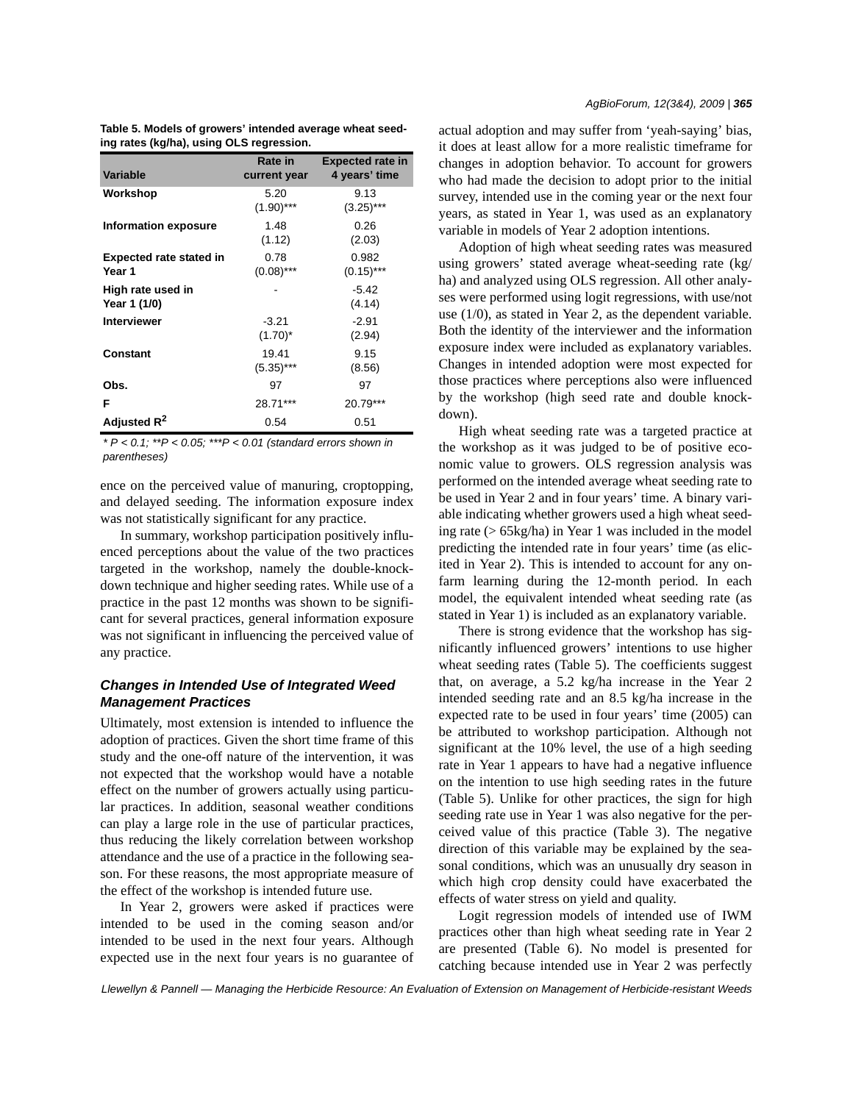| Table 5. Models of growers' intended average wheat seed- |  |
|----------------------------------------------------------|--|
| ing rates (kg/ha), using OLS regression.                 |  |

| Variable                                 | Rate in<br>current year | <b>Expected rate in</b><br>4 years' time |
|------------------------------------------|-------------------------|------------------------------------------|
| Workshop                                 | 5.20<br>$(1.90)$ ***    | 9.13<br>$(3.25)$ ***                     |
| Information exposure                     | 1.48<br>(1.12)          | 0.26<br>(2.03)                           |
| <b>Expected rate stated in</b><br>Year 1 | 0.78<br>$(0.08)$ ***    | 0.982<br>$(0.15)$ ***                    |
| High rate used in<br>Year 1 (1/0)        |                         | $-5.42$<br>(4.14)                        |
| <b>Interviewer</b>                       | $-3.21$<br>$(1.70)^*$   | $-2.91$<br>(2.94)                        |
| Constant                                 | 19.41<br>$(5.35)***$    | 9.15<br>(8.56)                           |
| Obs.                                     | 97                      | 97                                       |
| F                                        | 28.71***                | 20.79***                                 |
| Adjusted R <sup>2</sup>                  | 0.54                    | 0.51                                     |

*\* P < 0.1; \*\*P < 0.05; \*\*\*P < 0.01 (standard errors shown in parentheses)*

ence on the perceived value of manuring, croptopping, and delayed seeding. The information exposure index was not statistically significant for any practice.

In summary, workshop participation positively influenced perceptions about the value of the two practices targeted in the workshop, namely the double-knockdown technique and higher seeding rates. While use of a practice in the past 12 months was shown to be significant for several practices, general information exposure was not significant in influencing the perceived value of any practice.

# *Changes in Intended Use of Integrated Weed Management Practices*

Ultimately, most extension is intended to influence the adoption of practices. Given the short time frame of this study and the one-off nature of the intervention, it was not expected that the workshop would have a notable effect on the number of growers actually using particular practices. In addition, seasonal weather conditions can play a large role in the use of particular practices, thus reducing the likely correlation between workshop attendance and the use of a practice in the following season. For these reasons, the most appropriate measure of the effect of the workshop is intended future use.

In Year 2, growers were asked if practices were intended to be used in the coming season and/or intended to be used in the next four years. Although expected use in the next four years is no guarantee of actual adoption and may suffer from 'yeah-saying' bias, it does at least allow for a more realistic timeframe for changes in adoption behavior. To account for growers who had made the decision to adopt prior to the initial survey, intended use in the coming year or the next four years, as stated in Year 1, was used as an explanatory variable in models of Year 2 adoption intentions.

Adoption of high wheat seeding rates was measured using growers' stated average wheat-seeding rate (kg/ ha) and analyzed using OLS regression. All other analyses were performed using logit regressions, with use/not use (1/0), as stated in Year 2, as the dependent variable. Both the identity of the interviewer and the information exposure index were included as explanatory variables. Changes in intended adoption were most expected for those practices where perceptions also were influenced by the workshop (high seed rate and double knockdown).

High wheat seeding rate was a targeted practice at the workshop as it was judged to be of positive economic value to growers. OLS regression analysis was performed on the intended average wheat seeding rate to be used in Year 2 and in four years' time. A binary variable indicating whether growers used a high wheat seeding rate (> 65kg/ha) in Year 1 was included in the model predicting the intended rate in four years' time (as elicited in Year 2). This is intended to account for any onfarm learning during the 12-month period. In each model, the equivalent intended wheat seeding rate (as stated in Year 1) is included as an explanatory variable.

There is strong evidence that the workshop has significantly influenced growers' intentions to use higher wheat seeding rates (Table 5). The coefficients suggest that, on average, a 5.2 kg/ha increase in the Year 2 intended seeding rate and an 8.5 kg/ha increase in the expected rate to be used in four years' time (2005) can be attributed to workshop participation. Although not significant at the 10% level, the use of a high seeding rate in Year 1 appears to have had a negative influence on the intention to use high seeding rates in the future (Table 5). Unlike for other practices, the sign for high seeding rate use in Year 1 was also negative for the perceived value of this practice (Table 3). The negative direction of this variable may be explained by the seasonal conditions, which was an unusually dry season in which high crop density could have exacerbated the effects of water stress on yield and quality.

Logit regression models of intended use of IWM practices other than high wheat seeding rate in Year 2 are presented (Table 6). No model is presented for catching because intended use in Year 2 was perfectly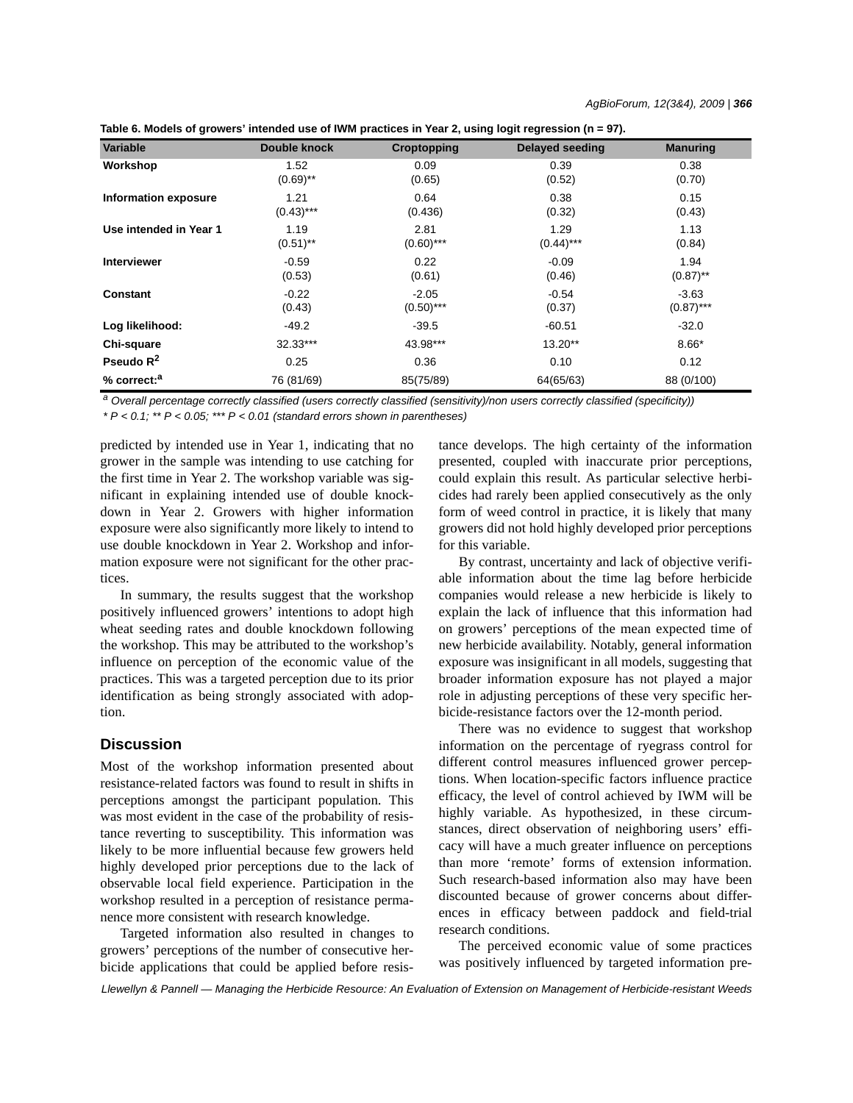| Table 6. Models of growers' intended use of IWM practices in Year 2, using logit regression (n = 97). |  |  |  |  |
|-------------------------------------------------------------------------------------------------------|--|--|--|--|
|-------------------------------------------------------------------------------------------------------|--|--|--|--|

| <b>Variable</b>             | Double knock | Croptopping  | <b>Delayed seeding</b> | <b>Manuring</b> |
|-----------------------------|--------------|--------------|------------------------|-----------------|
| Workshop                    | 1.52         | 0.09         | 0.39                   | 0.38            |
|                             | $(0.69)$ **  | (0.65)       | (0.52)                 | (0.70)          |
| <b>Information exposure</b> | 1.21         | 0.64         | 0.38                   | 0.15            |
|                             | $(0.43)$ *** | (0.436)      | (0.32)                 | (0.43)          |
| Use intended in Year 1      | 1.19         | 2.81         | 1.29                   | 1.13            |
|                             | $(0.51)$ **  | $(0.60)$ *** | $(0.44)$ ***           | (0.84)          |
| <b>Interviewer</b>          | $-0.59$      | 0.22         | $-0.09$                | 1.94            |
|                             | (0.53)       | (0.61)       | (0.46)                 | $(0.87)$ **     |
| Constant                    | $-0.22$      | $-2.05$      | $-0.54$                | $-3.63$         |
|                             | (0.43)       | $(0.50)$ *** | (0.37)                 | $(0.87)$ ***    |
| Log likelihood:             | -49.2        | $-39.5$      | $-60.51$               | $-32.0$         |
| Chi-square                  | 32.33***     | 43.98***     | $13.20**$              | $8.66*$         |
| Pseudo $R^2$                | 0.25         | 0.36         | 0.10                   | 0.12            |
| % correct: <sup>a</sup>     | 76 (81/69)   | 85(75/89)    | 64(65/63)              | 88 (0/100)      |

*a Overall percentage correctly classified (users correctly classified (sensitivity)/non users correctly classified (specificity)) \* P < 0.1; \*\* P < 0.05; \*\*\* P < 0.01 (standard errors shown in parentheses)*

predicted by intended use in Year 1, indicating that no grower in the sample was intending to use catching for the first time in Year 2. The workshop variable was significant in explaining intended use of double knockdown in Year 2. Growers with higher information exposure were also significantly more likely to intend to use double knockdown in Year 2. Workshop and information exposure were not significant for the other practices.

In summary, the results suggest that the workshop positively influenced growers' intentions to adopt high wheat seeding rates and double knockdown following the workshop. This may be attributed to the workshop's influence on perception of the economic value of the practices. This was a targeted perception due to its prior identification as being strongly associated with adoption.

# **Discussion**

Most of the workshop information presented about resistance-related factors was found to result in shifts in perceptions amongst the participant population. This was most evident in the case of the probability of resistance reverting to susceptibility. This information was likely to be more influential because few growers held highly developed prior perceptions due to the lack of observable local field experience. Participation in the workshop resulted in a perception of resistance permanence more consistent with research knowledge.

Targeted information also resulted in changes to growers' perceptions of the number of consecutive herbicide applications that could be applied before resistance develops. The high certainty of the information presented, coupled with inaccurate prior perceptions, could explain this result. As particular selective herbicides had rarely been applied consecutively as the only form of weed control in practice, it is likely that many growers did not hold highly developed prior perceptions for this variable.

By contrast, uncertainty and lack of objective verifiable information about the time lag before herbicide companies would release a new herbicide is likely to explain the lack of influence that this information had on growers' perceptions of the mean expected time of new herbicide availability. Notably, general information exposure was insignificant in all models, suggesting that broader information exposure has not played a major role in adjusting perceptions of these very specific herbicide-resistance factors over the 12-month period.

There was no evidence to suggest that workshop information on the percentage of ryegrass control for different control measures influenced grower perceptions. When location-specific factors influence practice efficacy, the level of control achieved by IWM will be highly variable. As hypothesized, in these circumstances, direct observation of neighboring users' efficacy will have a much greater influence on perceptions than more 'remote' forms of extension information. Such research-based information also may have been discounted because of grower concerns about differences in efficacy between paddock and field-trial research conditions.

The perceived economic value of some practices was positively influenced by targeted information pre-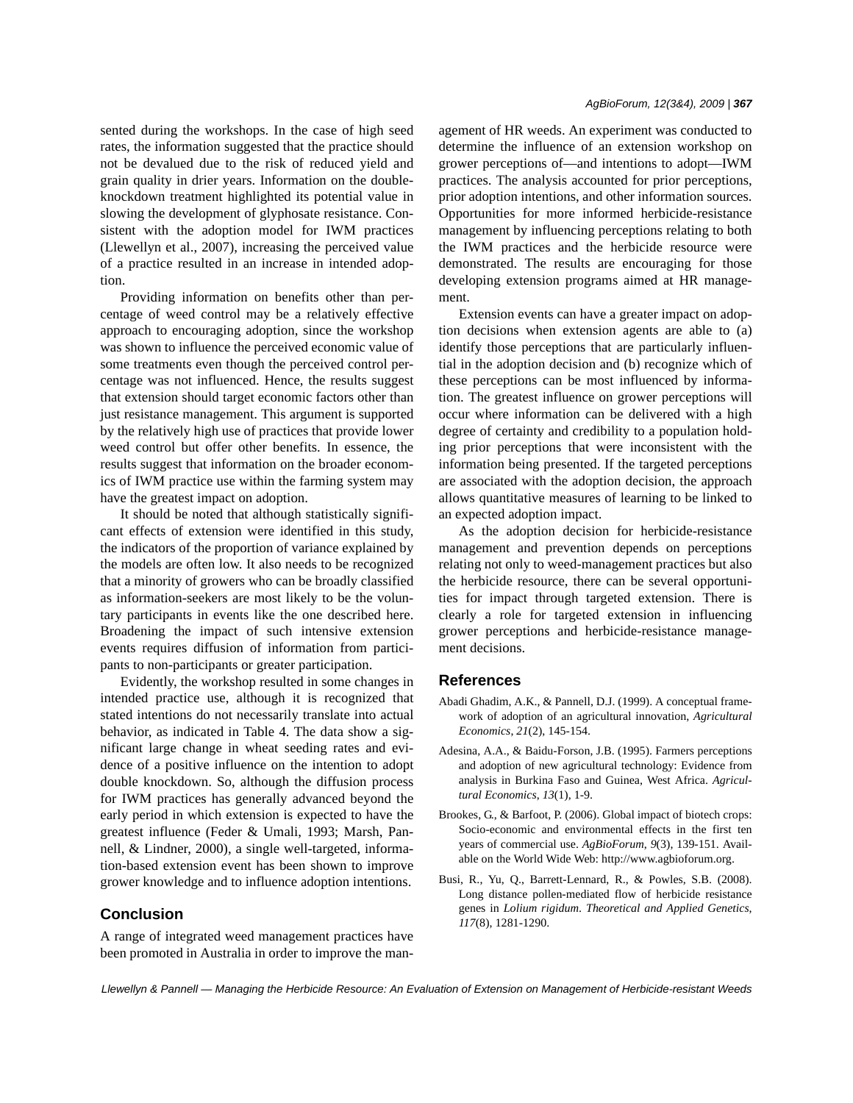sented during the workshops. In the case of high seed rates, the information suggested that the practice should not be devalued due to the risk of reduced yield and grain quality in drier years. Information on the doubleknockdown treatment highlighted its potential value in slowing the development of glyphosate resistance. Consistent with the adoption model for IWM practices (Llewellyn et al., 2007), increasing the perceived value of a practice resulted in an increase in intended adoption.

Providing information on benefits other than percentage of weed control may be a relatively effective approach to encouraging adoption, since the workshop was shown to influence the perceived economic value of some treatments even though the perceived control percentage was not influenced. Hence, the results suggest that extension should target economic factors other than just resistance management. This argument is supported by the relatively high use of practices that provide lower weed control but offer other benefits. In essence, the results suggest that information on the broader economics of IWM practice use within the farming system may have the greatest impact on adoption.

It should be noted that although statistically significant effects of extension were identified in this study, the indicators of the proportion of variance explained by the models are often low. It also needs to be recognized that a minority of growers who can be broadly classified as information-seekers are most likely to be the voluntary participants in events like the one described here. Broadening the impact of such intensive extension events requires diffusion of information from participants to non-participants or greater participation.

Evidently, the workshop resulted in some changes in intended practice use, although it is recognized that stated intentions do not necessarily translate into actual behavior, as indicated in Table 4. The data show a significant large change in wheat seeding rates and evidence of a positive influence on the intention to adopt double knockdown. So, although the diffusion process for IWM practices has generally advanced beyond the early period in which extension is expected to have the greatest influence (Feder & Umali, 1993; Marsh, Pannell, & Lindner, 2000), a single well-targeted, information-based extension event has been shown to improve grower knowledge and to influence adoption intentions.

# **Conclusion**

A range of integrated weed management practices have been promoted in Australia in order to improve the management of HR weeds. An experiment was conducted to determine the influence of an extension workshop on grower perceptions of—and intentions to adopt—IWM practices. The analysis accounted for prior perceptions, prior adoption intentions, and other information sources. Opportunities for more informed herbicide-resistance management by influencing perceptions relating to both the IWM practices and the herbicide resource were demonstrated. The results are encouraging for those developing extension programs aimed at HR management.

Extension events can have a greater impact on adoption decisions when extension agents are able to (a) identify those perceptions that are particularly influential in the adoption decision and (b) recognize which of these perceptions can be most influenced by information. The greatest influence on grower perceptions will occur where information can be delivered with a high degree of certainty and credibility to a population holding prior perceptions that were inconsistent with the information being presented. If the targeted perceptions are associated with the adoption decision, the approach allows quantitative measures of learning to be linked to an expected adoption impact.

As the adoption decision for herbicide-resistance management and prevention depends on perceptions relating not only to weed-management practices but also the herbicide resource, there can be several opportunities for impact through targeted extension. There is clearly a role for targeted extension in influencing grower perceptions and herbicide-resistance management decisions.

#### **References**

- Abadi Ghadim, A.K., & Pannell, D.J. (1999). A conceptual framework of adoption of an agricultural innovation, *Agricultural Economics*, *21*(2), 145-154.
- Adesina, A.A., & Baidu-Forson, J.B. (1995). Farmers perceptions and adoption of new agricultural technology: Evidence from analysis in Burkina Faso and Guinea, West Africa. *Agricultural Economics*, *13*(1), 1-9.
- Brookes, G., & Barfoot, P. (2006). Global impact of biotech crops: Socio-economic and environmental effects in the first ten years of commercial use. *AgBioForum*, *9*(3), 139-151. Available on the World Wide Web: http://www.agbioforum.org.
- Busi, R., Yu, Q., Barrett-Lennard, R., & Powles, S.B. (2008). Long distance pollen-mediated flow of herbicide resistance genes in *Lolium rigidum*. *Theoretical and Applied Genetics*, *117*(8), 1281-1290.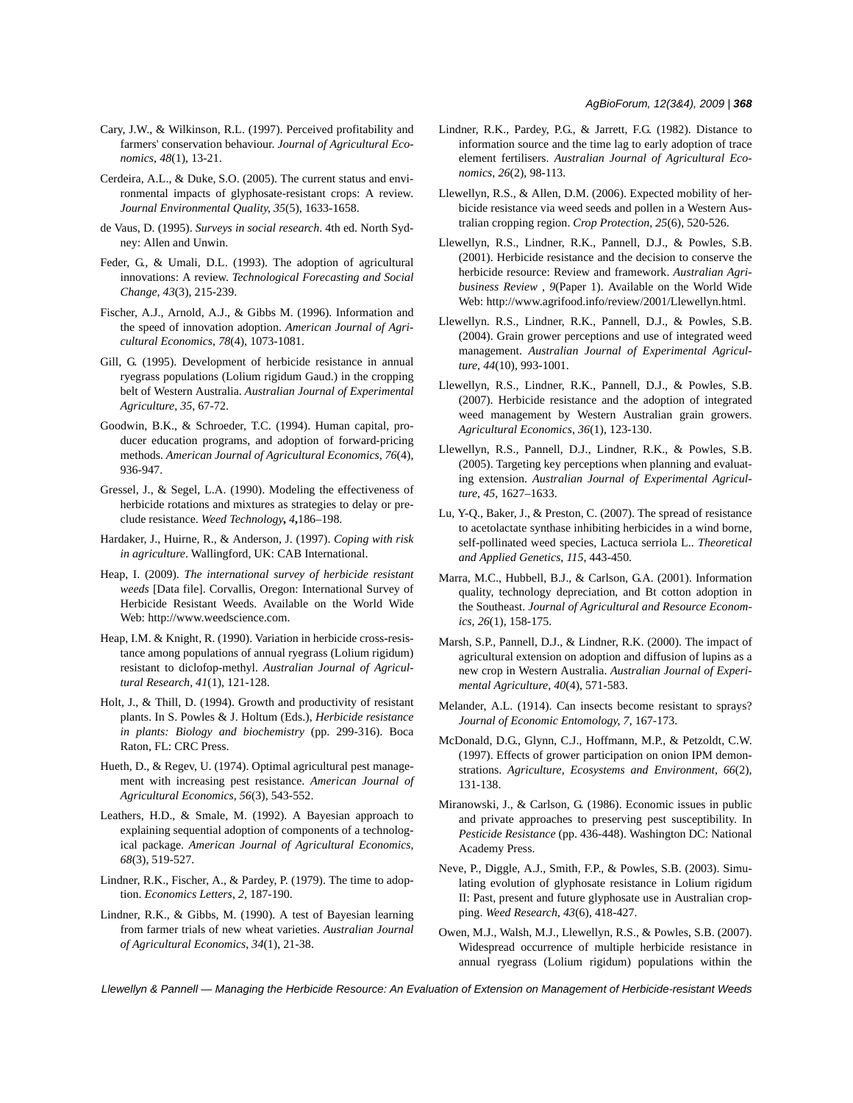- Cary, J.W., & Wilkinson, R.L. (1997). Perceived profitability and farmers' conservation behaviour. *Journal of Agricultural Economics*, *48*(1), 13-21.
- Cerdeira, A.L., & Duke, S.O. (2005). The current status and environmental impacts of glyphosate-resistant crops: A review. *Journal Environmental Quality*, *35*(5), 1633-1658.
- de Vaus, D. (1995). *Surveys in social research*. 4th ed. North Sydney: Allen and Unwin.
- Feder, G., & Umali, D.L. (1993). The adoption of agricultural innovations: A review. *Technological Forecasting and Social Change*, *43*(3), 215-239.
- Fischer, A.J., Arnold, A.J., & Gibbs M. (1996). Information and the speed of innovation adoption. *American Journal of Agricultural Economics*, *78*(4), 1073-1081.
- Gill, G. (1995). Development of herbicide resistance in annual ryegrass populations (Lolium rigidum Gaud.) in the cropping belt of Western Australia. *Australian Journal of Experimental Agriculture*, *35*, 67-72.
- Goodwin, B.K., & Schroeder, T.C. (1994). Human capital, producer education programs, and adoption of forward-pricing methods. *American Journal of Agricultural Economics*, *76*(4), 936-947.
- Gressel, J., & Segel, L.A. (1990). Modeling the effectiveness of herbicide rotations and mixtures as strategies to delay or preclude resistance. *Weed Technology***,** *4***,**186–198.
- Hardaker, J., Huirne, R., & Anderson, J. (1997). *Coping with risk in agriculture*. Wallingford, UK: CAB International.
- Heap, I. (2009). *The international survey of herbicide resistant weeds* [Data file]. Corvallis, Oregon: International Survey of Herbicide Resistant Weeds. Available on the World Wide Web: http://www.weedscience.com.
- Heap, I.M. & Knight, R. (1990). Variation in herbicide cross-resistance among populations of annual ryegrass (Lolium rigidum) resistant to diclofop-methyl. *Australian Journal of Agricultural Research*, *41*(1), 121-128.
- Holt, J., & Thill, D. (1994). Growth and productivity of resistant plants. In S. Powles & J. Holtum (Eds.), *Herbicide resistance in plants: Biology and biochemistry* (pp. 299-316). Boca Raton, FL: CRC Press.
- Hueth, D., & Regev, U. (1974). Optimal agricultural pest management with increasing pest resistance. *American Journal of Agricultural Economics*, *56*(3), 543-552.
- Leathers, H.D., & Smale, M. (1992). A Bayesian approach to explaining sequential adoption of components of a technological package. *American Journal of Agricultural Economics*, *68*(3), 519-527.
- Lindner, R.K., Fischer, A., & Pardey, P. (1979). The time to adoption. *Economics Letters*, *2*, 187-190.
- Lindner, R.K., & Gibbs, M. (1990). A test of Bayesian learning from farmer trials of new wheat varieties. *Australian Journal of Agricultural Economics*, *34*(1), 21-38.
- Lindner, R.K., Pardey, P.G., & Jarrett, F.G. (1982). Distance to information source and the time lag to early adoption of trace element fertilisers. *Australian Journal of Agricultural Economics*, *26*(2), 98-113.
- Llewellyn, R.S., & Allen, D.M. (2006). Expected mobility of herbicide resistance via weed seeds and pollen in a Western Australian cropping region. *Crop Protection*, *25*(6), 520-526.
- Llewellyn, R.S., Lindner, R.K., Pannell, D.J., & Powles, S.B. (2001). Herbicide resistance and the decision to conserve the herbicide resource: Review and framework. *Australian Agribusiness Review* , *9*(Paper 1). Available on the World Wide Web: http://www.agrifood.info/review/2001/Llewellyn.html.
- Llewellyn. R.S., Lindner, R.K., Pannell, D.J., & Powles, S.B. (2004). Grain grower perceptions and use of integrated weed management. *Australian Journal of Experimental Agriculture*, *44*(10), 993-1001.
- Llewellyn, R.S., Lindner, R.K., Pannell, D.J., & Powles, S.B. (2007). Herbicide resistance and the adoption of integrated weed management by Western Australian grain growers. *Agricultural Economics*, *36*(1), 123-130.
- Llewellyn, R.S., Pannell, D.J., Lindner, R.K., & Powles, S.B. (2005). Targeting key perceptions when planning and evaluating extension. *Australian Journal of Experimental Agriculture*, *45*, 1627–1633.
- Lu, Y-Q., Baker, J., & Preston, C. (2007). The spread of resistance to acetolactate synthase inhibiting herbicides in a wind borne, self-pollinated weed species, Lactuca serriola L.. *Theoretical and Applied Genetics*, *115*, 443-450.
- Marra, M.C., Hubbell, B.J., & Carlson, G.A. (2001). Information quality, technology depreciation, and Bt cotton adoption in the Southeast. *Journal of Agricultural and Resource Economics*, *26*(1), 158-175.
- Marsh, S.P., Pannell, D.J., & Lindner, R.K. (2000). The impact of agricultural extension on adoption and diffusion of lupins as a new crop in Western Australia. *Australian Journal of Experimental Agriculture*, *40*(4), 571-583.
- Melander, A.L. (1914). Can insects become resistant to sprays? *Journal of Economic Entomology*, *7*, 167-173.
- McDonald, D.G., Glynn, C.J., Hoffmann, M.P., & Petzoldt, C.W. (1997). Effects of grower participation on onion IPM demonstrations. *Agriculture, Ecosystems and Environment*, *66*(2), 131-138.
- Miranowski, J., & Carlson, G. (1986). Economic issues in public and private approaches to preserving pest susceptibility. In *Pesticide Resistance* (pp. 436-448). Washington DC: National Academy Press.
- Neve, P., Diggle, A.J., Smith, F.P., & Powles, S.B. (2003). Simulating evolution of glyphosate resistance in Lolium rigidum II: Past, present and future glyphosate use in Australian cropping. *Weed Research*, *43*(6), 418-427.
- Owen, M.J., Walsh, M.J., Llewellyn, R.S., & Powles, S.B. (2007). Widespread occurrence of multiple herbicide resistance in annual ryegrass (Lolium rigidum) populations within the